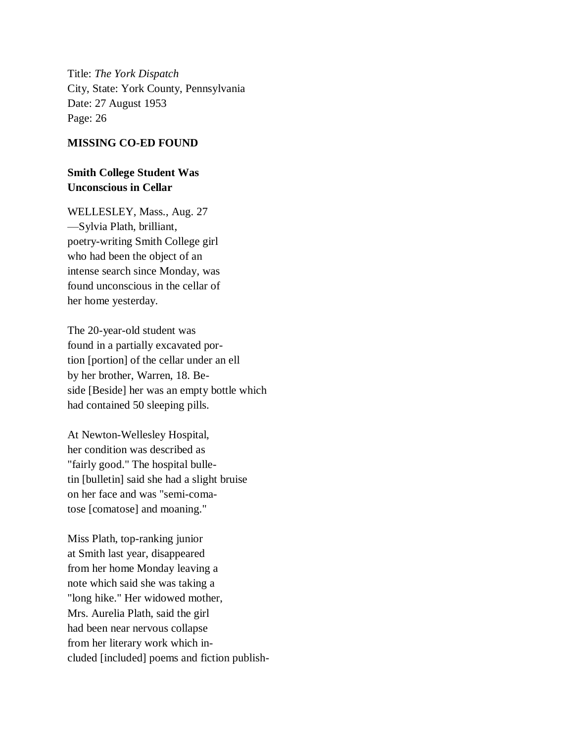Title: *The York Dispatch* City, State: York County, Pennsylvania Date: 27 August 1953 Page: 26

## **MISSING CO-ED FOUND**

## **Smith College Student Was Unconscious in Cellar**

WELLESLEY, Mass., Aug. 27 —Sylvia Plath, brilliant, poetry-writing Smith College girl who had been the object of an intense search since Monday, was found unconscious in the cellar of her home yesterday.

The 20-year-old student was found in a partially excavated portion [portion] of the cellar under an ell by her brother, Warren, 18. Beside [Beside] her was an empty bottle which had contained 50 sleeping pills.

At Newton-Wellesley Hospital, her condition was described as "fairly good." The hospital bulletin [bulletin] said she had a slight bruise on her face and was "semi-comatose [comatose] and moaning."

Miss Plath, top-ranking junior at Smith last year, disappeared from her home Monday leaving a note which said she was taking a "long hike." Her widowed mother, Mrs. Aurelia Plath, said the girl had been near nervous collapse from her literary work which included [included] poems and fiction publish